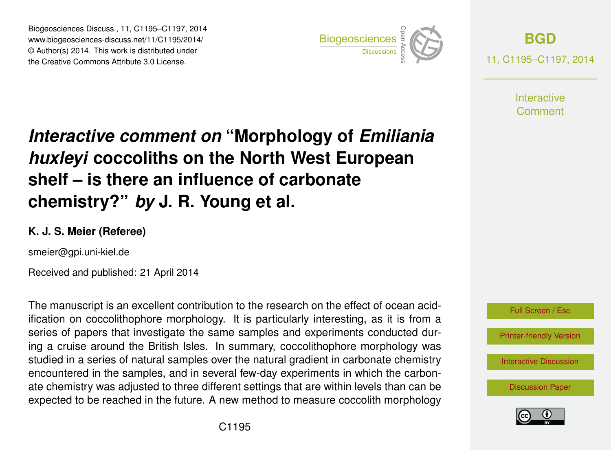Biogeosciences Discuss., 11, C1195–C1197, 2014 www.biogeosciences-discuss.net/11/C1195/2014/ © Author(s) 2014. This work is distributed under Biogeosciences Discuss., 11, C1195–C1197, 2014<br>
www.biogeosciences-discuss.net/11/C1195/2014/<br>
© Author(s) 2014. This work is distributed under<br>
the Creative Commons Attribute 3.0 License.



**[BGD](http://www.biogeosciences-discuss.net)** 11, C1195–C1197, 2014

> **Interactive** Comment

## *Interactive comment on* **"Morphology of** *Emiliania huxleyi* **coccoliths on the North West European shelf – is there an influence of carbonate chemistry?"** *by* **J. R. Young et al.**

## **K. J. S. Meier (Referee)**

smeier@gpi.uni-kiel.de

Received and published: 21 April 2014

The manuscript is an excellent contribution to the research on the effect of ocean acidification on coccolithophore morphology. It is particularly interesting, as it is from a series of papers that investigate the same samples and experiments conducted during a cruise around the British Isles. In summary, coccolithophore morphology was studied in a series of natural samples over the natural gradient in carbonate chemistry encountered in the samples, and in several few-day experiments in which the carbonate chemistry was adjusted to three different settings that are within levels than can be expected to be reached in the future. A new method to measure coccolith morphology

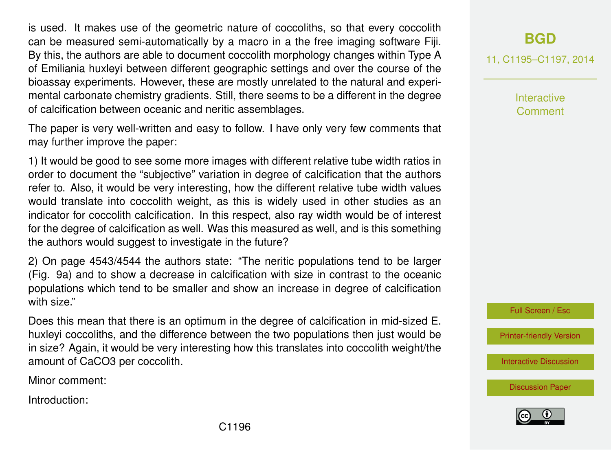is used. It makes use of the geometric nature of coccoliths, so that every coccolith can be measured semi-automatically by a macro in a the free imaging software Fiji. By this, the authors are able to document coccolith morphology changes within Type A of Emiliania huxleyi between different geographic settings and over the course of the bioassay experiments. However, these are mostly unrelated to the natural and experimental carbonate chemistry gradients. Still, there seems to be a different in the degree of calcification between oceanic and neritic assemblages.

The paper is very well-written and easy to follow. I have only very few comments that may further improve the paper:

1) It would be good to see some more images with different relative tube width ratios in order to document the "subjective" variation in degree of calcification that the authors refer to. Also, it would be very interesting, how the different relative tube width values would translate into coccolith weight, as this is widely used in other studies as an indicator for coccolith calcification. In this respect, also ray width would be of interest for the degree of calcification as well. Was this measured as well, and is this something the authors would suggest to investigate in the future?

2) On page 4543/4544 the authors state: "The neritic populations tend to be larger (Fig. 9a) and to show a decrease in calcification with size in contrast to the oceanic populations which tend to be smaller and show an increase in degree of calcification with size."

Does this mean that there is an optimum in the degree of calcification in mid-sized E. huxleyi coccoliths, and the difference between the two populations then just would be in size? Again, it would be very interesting how this translates into coccolith weight/the amount of CaCO3 per coccolith.

Minor comment:

Introduction:

**[BGD](http://www.biogeosciences-discuss.net)**

11, C1195–C1197, 2014

Interactive Comment

Full Screen / Esc

[Printer-friendly Version](http://www.biogeosciences-discuss.net/11/C1195/2014/bgd-11-C1195-2014-print.pdf)

[Interactive Discussion](http://www.biogeosciences-discuss.net/11/4531/2014/bgd-11-4531-2014-discussion.html)

[Discussion Paper](http://www.biogeosciences-discuss.net/11/4531/2014/bgd-11-4531-2014.pdf)